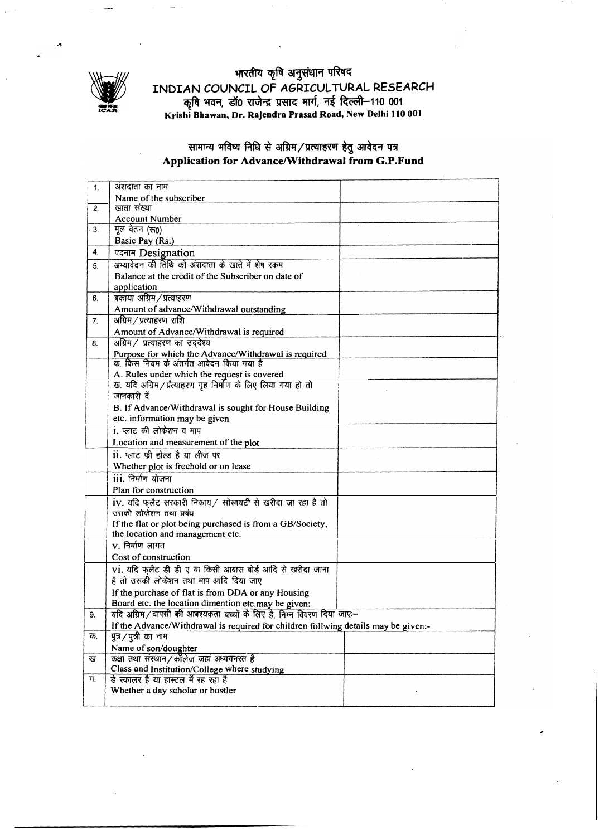

## भारतीय कृषि अनुसंधान परिषद INDIAN COUNCIL OF AGRICULTURAL RESEARCH कृषि भवन, डॉ0 राजेन्द्र प्रसाद मार्ग, नई दिल्ली–110 001<br>Krishi Bhawan, Dr. Rajendra Prasad Road, New Delhi 110 001

## सामान्य मविष्य निधि से अग्रिम/प्रत्याहरण हेतु आवेदन पत्र (Application for Advance/Withdrawal from G.P.Fund

| 1. | अंशदाता का नाम                                                                                   |
|----|--------------------------------------------------------------------------------------------------|
|    | Name of the subscriber                                                                           |
| 2. | खाता संख्या                                                                                      |
|    | <b>Account Number</b>                                                                            |
| 3. | मूल वेतन (रु0)                                                                                   |
|    | Basic Pay (Rs.)                                                                                  |
| 4. | पदनाम Designation                                                                                |
| 5. | अभ्यावेदन की तिथि को अंशदाता के खाते में शेष रकम                                                 |
|    | Balance at the credit of the Subscriber on date of                                               |
|    | application                                                                                      |
| 6. | बकाया अग्रिम/प्रत्याहरण                                                                          |
|    | Amount of advance/Withdrawal outstanding                                                         |
| 7. | अग्रिम / प्रत्याहरण राशि                                                                         |
|    | Amount of Advance/Withdrawal is required                                                         |
| 8. | अग्रिम/ प्रत्याहरण का उददेश्य                                                                    |
|    | Purpose for which the Advance/Withdrawal is required<br>क. किस नियम के अंतर्गत आवेदन किया गया है |
|    |                                                                                                  |
|    | A. Rules under which the request is covered                                                      |
|    | ख. यदि अग्रिम/प्रत्याहरण गृह निर्माण के लिए लिया गया हो तो                                       |
|    | जानकारी दें                                                                                      |
|    | B. If Advance/Withdrawal is sought for House Building                                            |
|    | etc. information may be given                                                                    |
|    | i. प्लाट की लोकेशन व माप                                                                         |
|    | Location and measurement of the plot                                                             |
|    | ii. प्लाट फ्री होल्ड है या लीज पर                                                                |
|    | Whether plot is freehold or on lease                                                             |
|    | iii. निर्माण योजना                                                                               |
|    | Plan for construction                                                                            |
|    | iv. यदि फ़लैट सरकारी निकाय / सोसायटी से खरीदा जा रहा है तो                                       |
|    | उसकी लोकेशन तथा प्रबंध                                                                           |
|    | If the flat or plot being purchased is from a GB/Society,                                        |
|    | the location and management etc.                                                                 |
|    | $v$ . निर्माण लागत                                                                               |
|    | Cost of construction                                                                             |
|    | vi. यदि फलैट डी डी ए या किसी आवास बोर्ड आदि से खरीदा जाना                                        |
|    | है तो उसकी लोकेशन तथा माप आदि दिया जाए                                                           |
|    | If the purchase of flat is from DDA or any Housing                                               |
|    | Board etc. the location dimention etc.may be given:                                              |
| 9. | यदि अग्रिम/वापसी की आवश्यकता बच्चों के लिए है, निम्न विवरण दिया जाए:-                            |
|    | If the Advance/Withdrawal is required for children follwing details may be given:-               |
| क. | पुत्र/पुत्री का नाम                                                                              |
|    | Name of son/doughter                                                                             |
| ख  | कक्षा तथा संस्थान/कॉलेज जहां अध्ययनरत है                                                         |
|    | Class and Institution/College where studying                                                     |
| ग. | डे स्कालर है या हास्टल में रह रहा है                                                             |
|    | Whether a day scholar or hostler                                                                 |
|    |                                                                                                  |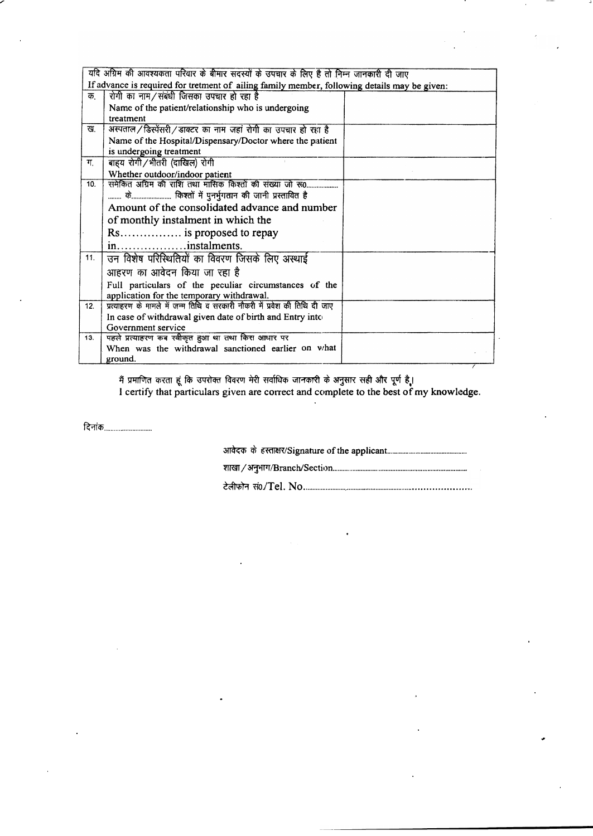| यदि अग्रिम की आवश्यकता परिवार के बीमार सदस्यों के उपचार के लिए है तो निम्न जानकारी दी जाए    |                                                                            |  |
|----------------------------------------------------------------------------------------------|----------------------------------------------------------------------------|--|
| If advance is required for tretment of ailing family member, following details may be given: |                                                                            |  |
| क.                                                                                           | रोगी का नाम/संबंधी जिसका उपचार हो रहा है                                   |  |
|                                                                                              | Name of the patient/relationship who is undergoing                         |  |
|                                                                                              | treatment                                                                  |  |
| ख.                                                                                           | अस्पताल/डिस्पेंसरी/डाक्टर का नाम जहां रोगी का उपचार हो रहा है              |  |
|                                                                                              | Name of the Hospital/Dispensary/Doctor where the patient                   |  |
|                                                                                              | is undergoing treatment                                                    |  |
| ग.                                                                                           | बाह्य रोगी/भीतरी (दाखिल) रोगी                                              |  |
|                                                                                              | Whether outdoor/indoor patient                                             |  |
| 10.                                                                                          | समेकित अग्रिम की राशि तथा मासिक किश्तों की संख्या जो रू0                   |  |
|                                                                                              | के किश्तों में पुनर्भुगतान की जानी प्रस्तावित है                           |  |
|                                                                                              | Amount of the consolidated advance and number                              |  |
|                                                                                              | of monthly instalment in which the                                         |  |
|                                                                                              | Rs is proposed to repay                                                    |  |
|                                                                                              | ininstalments.                                                             |  |
| 11.                                                                                          | उन विशेष परिस्थितियों का विवरण जिसके लिए अस्थाई                            |  |
|                                                                                              | आहरण का आवेदन किया जा रहा है                                               |  |
|                                                                                              | Full particulars of the peculiar circumstances of the                      |  |
|                                                                                              | application for the temporary withdrawal.                                  |  |
| 12.                                                                                          | प्रत्याहरण के मामले में जन्म तिथि व सरकारी नौकरी में प्रवेश की तिथि दी जाए |  |
|                                                                                              | In case of withdrawal given date of birth and Entry into                   |  |
|                                                                                              | Government service                                                         |  |
| 13.                                                                                          | पहले प्रत्याहरण कब स्वीकृत हुआ था तथा किस आधार पर                          |  |
|                                                                                              | When was the withdrawal sanctioned earlier on what                         |  |
|                                                                                              | ground.                                                                    |  |

मैं प्रमाणित करता हूं कि उपरोक्त विवरण मेरी सर्वाधिक जानकारी के अनुसार सही और पूर्ण है।<br>I certify that particulars given are correct and complete to the best of my knowledge.

दिनांक $\frac{1}{2}$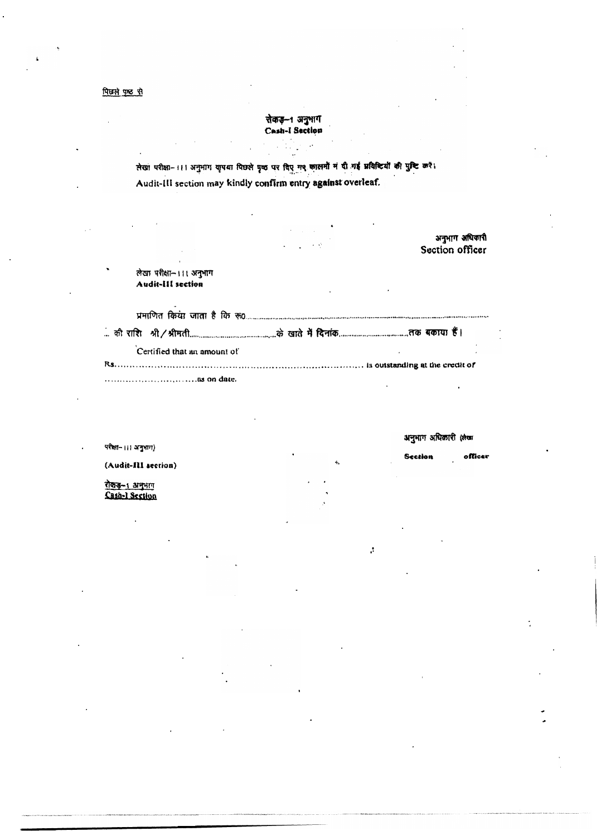पिछले पृष्ठ से

रोकड़-1 अनुभाग Cash-I Section

लेखा परीक्षा- ।।। अनुभाग शृपया पिछले पृष्ठ पर दिए गए कालमों मं दी गई प्रविश्टियों की पुष्टि करें। Audit-III section may kindly confirm entry against overleaf.

अनुभाग अधिकारी Section officer लेखा परीक्षा- ।।। अनुभाग Audit-III section Certified that an amount of 

अनुभाग अधिकारी (लेखा

 $of$ lice

Section

 $\cdot$ 

परीक्षा- ।।। अनुभाग)

(Audit-III section)

रोकडू-1 अनुभाग Cash-1 Section